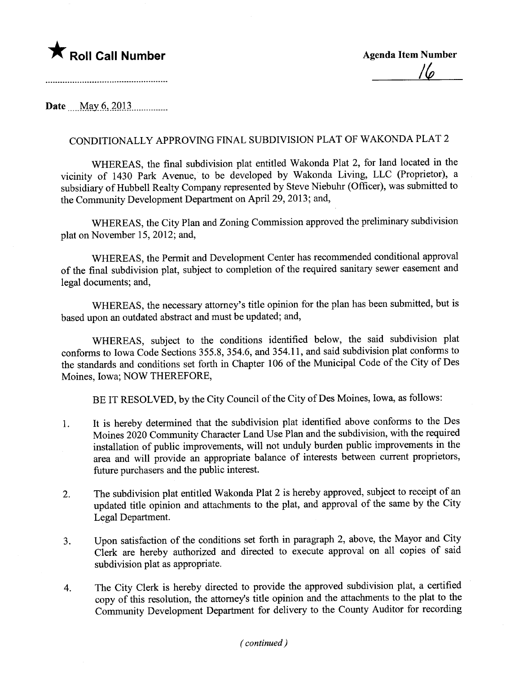

Date May 6, 2013

## CONDITIONALLY APPROVING FINAL SUBDIVISION PLAT OF WAKONDA PLAT 2

WHEREAS, the final subdivision plat entitled Wakonda Plat 2, for land located in the vicinity of 1430 Park Avenue, to be developed by Wakonda Living, LLC (Proprietor), a subsidiary of Hubbell Realty Company represented by Steve Niebuhr (Officer), was submitted to the Community Development Department on April 29, 2013; and,

WHEREAS, the City Plan and Zoning Commission approved the preliminary subdivision plat on November 15,2012; and,

WHEREAS, the Permit and Development Center has recommended conditional approval of the final subdivision plat, subject to completion of the required sanitary sewer easement and legal documents; and,

WHEREAS, the necessary attorney's title opinion for the plan has been submitted, but is based upon an outdated abstract and must be updated; and,

WHEREAS, subject to the conditions identified below, the said subdivision plat conforms to Iowa Code Sections 355.8, 354.6, and 354.11, and said subdivision plat conforms to the standards and conditions set forth in Chapter 106 of the Municipal Code of the City of Des Moines, Iowa; NOW THEREFORE,

BE IT RESOLVED, by the City Council of the City of Des Moines, Iowa, as follows:

- 1. It is hereby determined that the subdivision plat identified above conforms to the Des Moines 2020 Community Character Land Use Plan and the subdivision, with the required installation of public improvements, wil not unduly burden public improvements in the area and will provide an appropriate balance of interests between current proprietors, future purchasers and the public interest.
- 2. The subdivision plat entitled Wakonda Plat 2 is hereby approved, subject to receipt of an updated title opinion and attachments to the plat, and approval of the same by the City Legal Department.
- 3. Upon satisfaction of the conditions set forth in paragraph 2, above, the Mayor and City Clerk are hereby authorized and directed to execute approval on all copies of said subdivision plat as appropriate.
- 4. The City Clerk is hereby directed to provide the approved subdivision plat, a certified copy of this resolution, the attorney's title opinion and the attachments to the plat to the Community Development Department for delivery to the County Auditor for recording